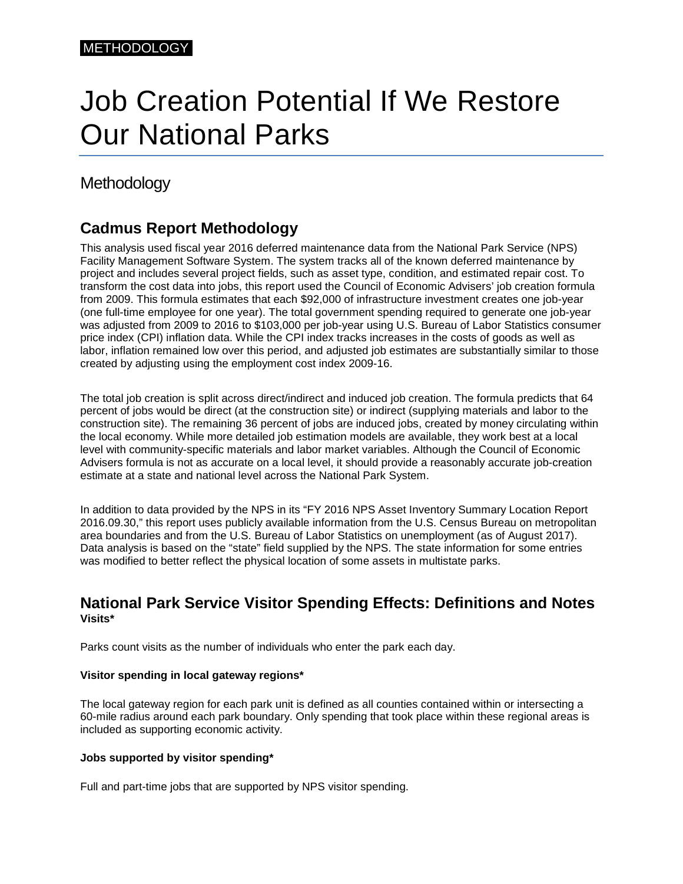# Job Creation Potential If We Restore Our National Parks

# Methodology

## **Cadmus Report Methodology**

This analysis used fiscal year 2016 deferred maintenance data from the National Park Service (NPS) Facility Management Software System. The system tracks all of the known deferred maintenance by project and includes several project fields, such as asset type, condition, and estimated repair cost. To transform the cost data into jobs, this report used the Council of Economic Advisers' job creation formula from 2009. This formula estimates that each \$92,000 of infrastructure investment creates one job-year (one full-time employee for one year). The total government spending required to generate one job-year was adjusted from 2009 to 2016 to \$103,000 per job-year using U.S. Bureau of Labor Statistics consumer price index (CPI) inflation data. While the CPI index tracks increases in the costs of goods as well as labor, inflation remained low over this period, and adjusted job estimates are substantially similar to those created by adjusting using the employment cost index 2009-16.

The total job creation is split across direct/indirect and induced job creation. The formula predicts that 64 percent of jobs would be direct (at the construction site) or indirect (supplying materials and labor to the construction site). The remaining 36 percent of jobs are induced jobs, created by money circulating within the local economy. While more detailed job estimation models are available, they work best at a local level with community-specific materials and labor market variables. Although the Council of Economic Advisers formula is not as accurate on a local level, it should provide a reasonably accurate job-creation estimate at a state and national level across the National Park System.

In addition to data provided by the NPS in its "FY 2016 NPS Asset Inventory Summary Location Report 2016.09.30," this report uses publicly available information from the U.S. Census Bureau on metropolitan area boundaries and from the U.S. Bureau of Labor Statistics on unemployment (as of August 2017). Data analysis is based on the "state" field supplied by the NPS. The state information for some entries was modified to better reflect the physical location of some assets in multistate parks.

## **National Park Service Visitor Spending Effects: Definitions and Notes Visits\***

Parks count visits as the number of individuals who enter the park each day.

#### **Visitor spending in local gateway regions\***

The local gateway region for each park unit is defined as all counties contained within or intersecting a 60-mile radius around each park boundary. Only spending that took place within these regional areas is included as supporting economic activity.

#### **Jobs supported by visitor spending\***

Full and part-time jobs that are supported by NPS visitor spending.